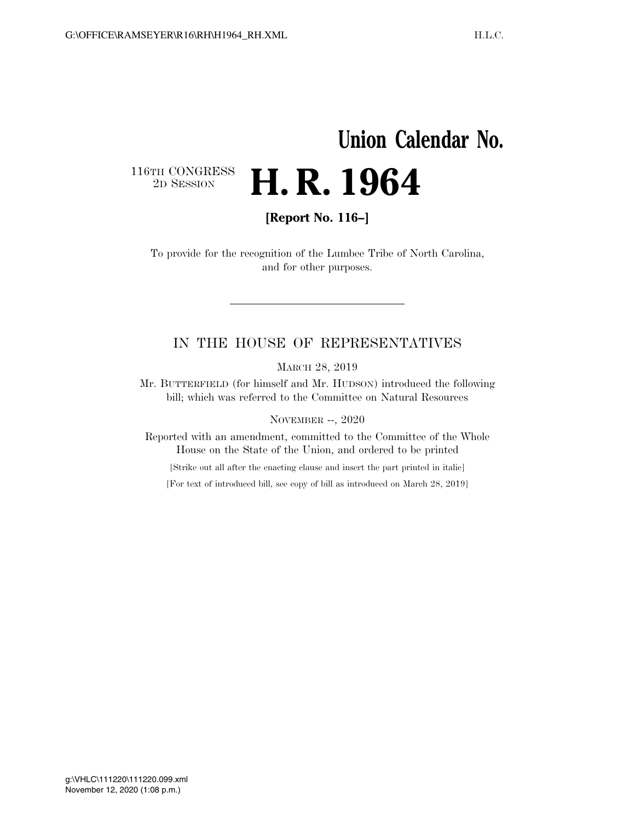# **Union Calendar No.** 116TH CONGRESS<br>2D SESSION 2D SESSION **H. R. 1964**

**[Report No. 116–]** 

To provide for the recognition of the Lumbee Tribe of North Carolina, and for other purposes.

## IN THE HOUSE OF REPRESENTATIVES

MARCH 28, 2019

Mr. BUTTERFIELD (for himself and Mr. HUDSON) introduced the following bill; which was referred to the Committee on Natural Resources

NOVEMBER --, 2020

Reported with an amendment, committed to the Committee of the Whole House on the State of the Union, and ordered to be printed

[Strike out all after the enacting clause and insert the part printed in italic]

[For text of introduced bill, see copy of bill as introduced on March 28, 2019]

November 12, 2020 (1:08 p.m.) g:\VHLC\111220\111220.099.xml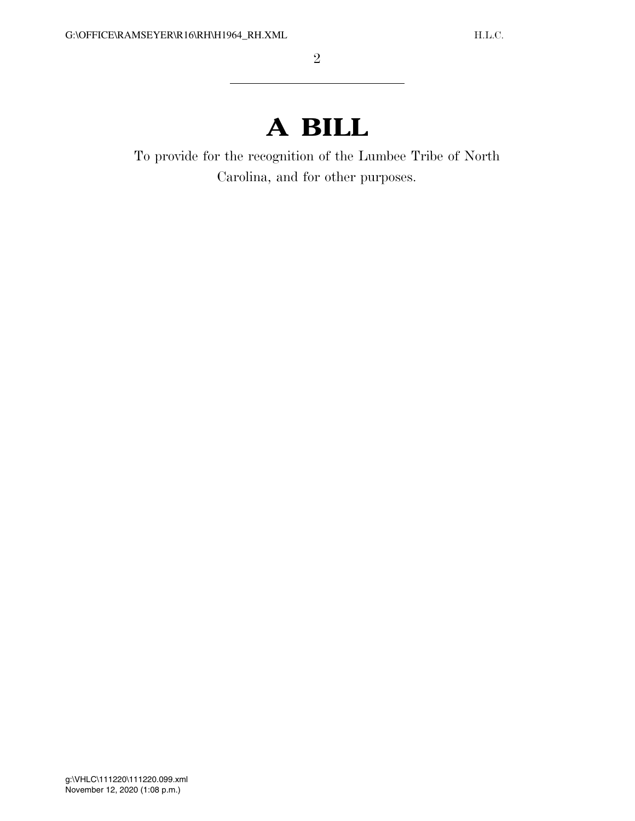# **A BILL**

To provide for the recognition of the Lumbee Tribe of North Carolina, and for other purposes.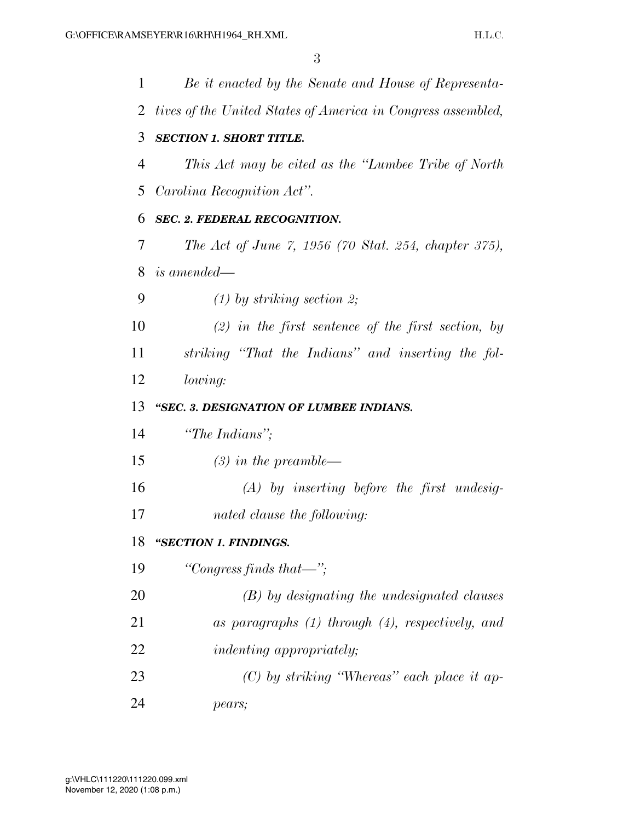| 1  | Be it enacted by the Senate and House of Representa-         |
|----|--------------------------------------------------------------|
| 2  | tives of the United States of America in Congress assembled, |
| 3  | <b>SECTION 1. SHORT TITLE.</b>                               |
| 4  | This Act may be cited as the "Lumbee Tribe of North"         |
| 5  | Carolina Recognition Act".                                   |
| 6  | <b>SEC. 2. FEDERAL RECOGNITION.</b>                          |
| 7  | The Act of June 7, 1956 (70 Stat. 254, chapter 375),         |
| 8  | is amended—                                                  |
| 9  | $(1)$ by striking section 2;                                 |
| 10 | $(2)$ in the first sentence of the first section, by         |
| 11 | striking "That the Indians" and inserting the fol-           |
| 12 | lowing:                                                      |
| 13 | "SEC. 3. DESIGNATION OF LUMBEE INDIANS.                      |
| 14 | "The Indians";                                               |
| 15 | $(3)$ in the preamble—                                       |
| 16 | $(A)$ by inserting before the first undesig-                 |
| 17 | nated clause the following:                                  |
| 18 | "SECTION 1. FINDINGS.                                        |
| 19 | "Congress finds that—";                                      |
| 20 | (B) by designating the undesignated clauses                  |
| 21 | as paragraphs $(1)$ through $(4)$ , respectively, and        |
| 22 | <i>indenting appropriately;</i>                              |
| 23 | $(C)$ by striking "Whereas" each place it ap-                |
| 24 | pears;                                                       |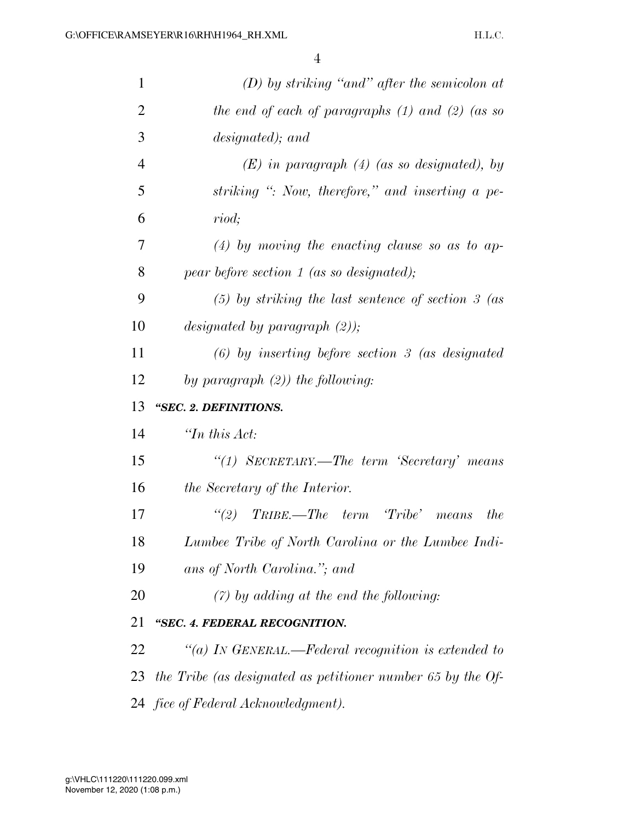| $\mathbf{1}$   | $(D)$ by striking "and" after the semicolon at              |
|----------------|-------------------------------------------------------------|
| $\overline{2}$ | the end of each of paragraphs $(1)$ and $(2)$ (as so        |
| 3              | designated); and                                            |
| $\overline{4}$ | $(E)$ in paragraph $(4)$ (as so designated), by             |
| 5              | striking ": Now, therefore," and inserting a pe-            |
| 6              | riod;                                                       |
| 7              | $(4)$ by moving the enacting clause so as to ap-            |
| 8              | $pear$ before section 1 (as so designated);                 |
| 9              | $(5)$ by striking the last sentence of section 3 (as        |
| 10             | designated by paragraph $(2)$ );                            |
| 11             | $(6)$ by inserting before section 3 (as designated          |
| 12             | by paragraph $(2)$ ) the following:                         |
|                |                                                             |
| 13             | "SEC. 2. DEFINITIONS.                                       |
| 14             | $\lq$ <sup>Th</sup> this Act:                               |
| 15             | "(1) SECRETARY.—The term 'Secretary' means                  |
| 16             | the Secretary of the Interior.                              |
| 17             | (2)<br>TRIBE.—The term 'Tribe' means<br><i>the</i>          |
| 18             | Lumbee Tribe of North Carolina or the Lumbee Indi-          |
| 19             | ans of North Carolina."; and                                |
| 20             | $(7)$ by adding at the end the following:                   |
| 21             | "SEC. 4. FEDERAL RECOGNITION.                               |
| 22             | "(a) IN GENERAL.—Federal recognition is extended to         |
| 23             | the Tribe (as designated as petitioner number 65 by the Of- |
|                | 24 fice of Federal Acknowledgment).                         |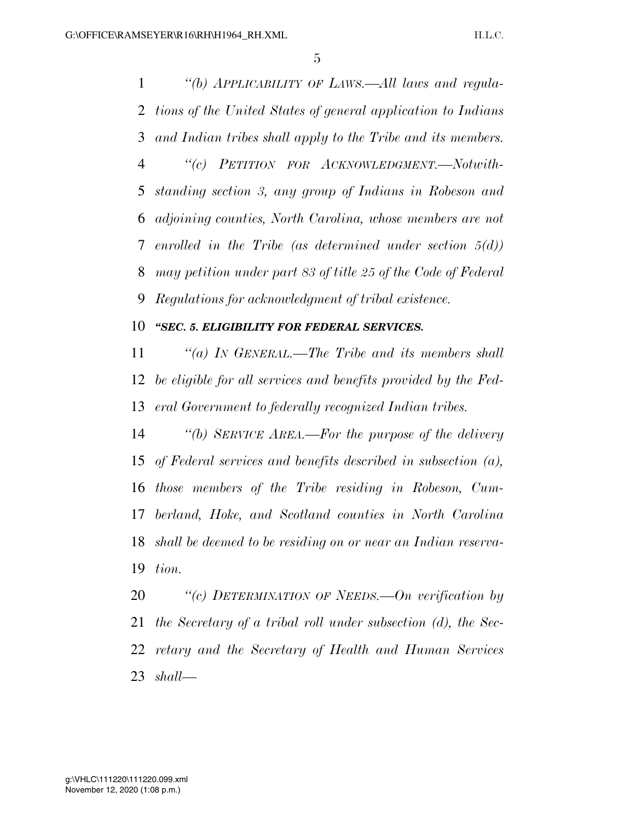*''(b) APPLICABILITY OF LAWS.—All laws and regula- tions of the United States of general application to Indians and Indian tribes shall apply to the Tribe and its members. ''(c) PETITION FOR ACKNOWLEDGMENT.—Notwith- standing section 3, any group of Indians in Robeson and adjoining counties, North Carolina, whose members are not enrolled in the Tribe (as determined under section 5(d)) may petition under part 83 of title 25 of the Code of Federal Regulations for acknowledgment of tribal existence.* 

#### *''SEC. 5. ELIGIBILITY FOR FEDERAL SERVICES.*

 *''(a) IN GENERAL.—The Tribe and its members shall be eligible for all services and benefits provided by the Fed-eral Government to federally recognized Indian tribes.* 

 *''(b) SERVICE AREA.—For the purpose of the delivery of Federal services and benefits described in subsection (a), those members of the Tribe residing in Robeson, Cum- berland, Hoke, and Scotland counties in North Carolina shall be deemed to be residing on or near an Indian reserva-tion.* 

 *''(c) DETERMINATION OF NEEDS.—On verification by the Secretary of a tribal roll under subsection (d), the Sec- retary and the Secretary of Health and Human Services shall—*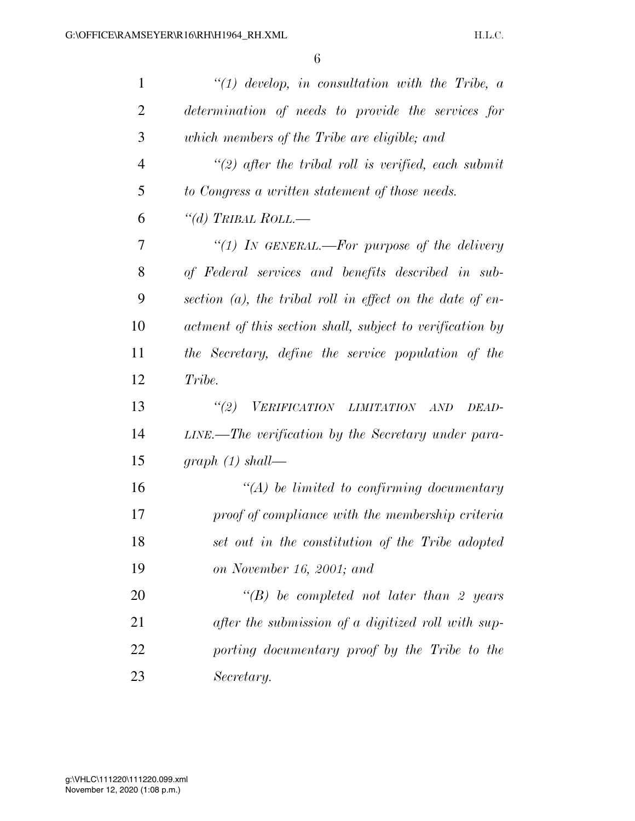| 1              | $\lq (1)$ develop, in consultation with the Tribe, a         |
|----------------|--------------------------------------------------------------|
| $\overline{2}$ | determination of needs to provide the services for           |
| 3              | which members of the Tribe are eligible; and                 |
| $\overline{4}$ | "(2) after the tribal roll is verified, each submit          |
| 5              | to Congress a written statement of those needs.              |
| 6              | "(d) TRIBAL ROLL.—                                           |
| 7              | "(1) In GENERAL.—For purpose of the delivery                 |
| 8              | of Federal services and benefits described in sub-           |
| 9              | section $(a)$ , the tribal roll in effect on the date of en- |
| 10             | actment of this section shall, subject to verification by    |
| 11             | the Secretary, define the service population of the          |
| 12             | Tribe.                                                       |
| 13             | "(2) VERIFICATION LIMITATION<br>AND<br>DEAD-                 |
| 14             | LINE.—The verification by the Secretary under para-          |
| 15             | graph $(1)$ shall—                                           |
| 16             | $\lq (A)$ be limited to confirming documentary               |
| 17             | proof of compliance with the membership criteria             |
| 18             | set out in the constitution of the Tribe adopted             |
| 19             | on November 16, 2001; and                                    |
| 20             | $\lq\lq(B)$ be completed not later than 2 years              |
| 21             | after the submission of a digitized roll with sup-           |
| 22             | porting documentary proof by the Tribe to the                |
| 23             | Secretary.                                                   |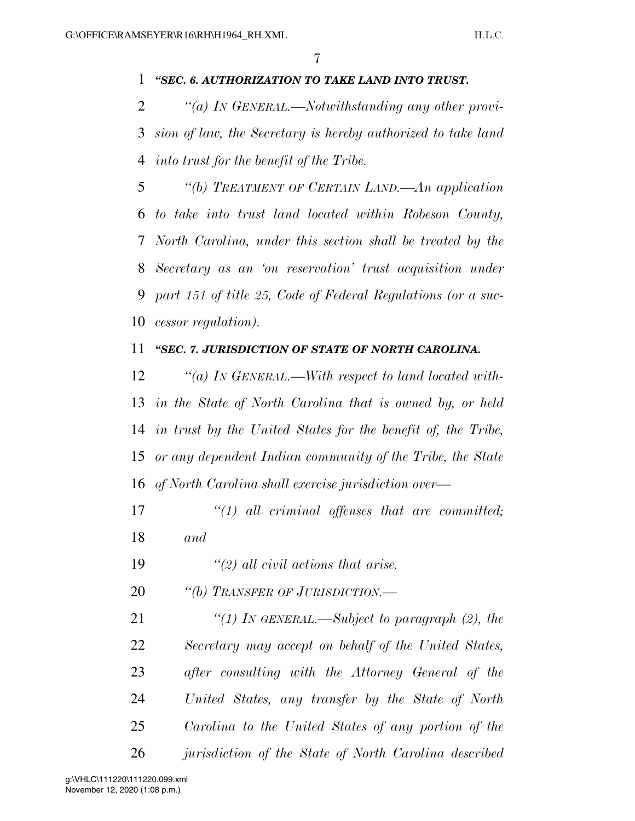#### *''SEC. 6. AUTHORIZATION TO TAKE LAND INTO TRUST.*

 *''(a) IN GENERAL.—Notwithstanding any other provi- sion of law, the Secretary is hereby authorized to take land into trust for the benefit of the Tribe.* 

 *''(b) TREATMENT OF CERTAIN LAND.—An application to take into trust land located within Robeson County, North Carolina, under this section shall be treated by the Secretary as an 'on reservation' trust acquisition under part 151 of title 25, Code of Federal Regulations (or a suc-cessor regulation).* 

#### *''SEC. 7. JURISDICTION OF STATE OF NORTH CAROLINA.*

 *''(a) IN GENERAL.—With respect to land located with- in the State of North Carolina that is owned by, or held in trust by the United States for the benefit of, the Tribe, or any dependent Indian community of the Tribe, the State of North Carolina shall exercise jurisdiction over—*

- *''(1) all criminal offenses that are committed; and*
- *''(2) all civil actions that arise.*
- *''(b) TRANSFER OF JURISDICTION.—*

 *''(1) IN GENERAL.—Subject to paragraph (2), the Secretary may accept on behalf of the United States, after consulting with the Attorney General of the United States, any transfer by the State of North Carolina to the United States of any portion of the jurisdiction of the State of North Carolina described*